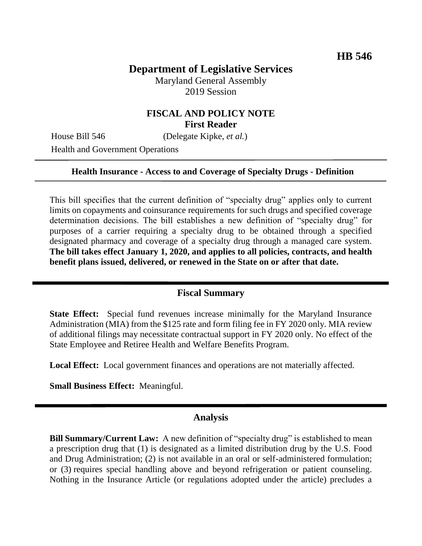# **Department of Legislative Services**

Maryland General Assembly 2019 Session

## **FISCAL AND POLICY NOTE First Reader**

House Bill 546 (Delegate Kipke, *et al.*)

Health and Government Operations

#### **Health Insurance - Access to and Coverage of Specialty Drugs - Definition**

This bill specifies that the current definition of "specialty drug" applies only to current limits on copayments and coinsurance requirements for such drugs and specified coverage determination decisions. The bill establishes a new definition of "specialty drug" for purposes of a carrier requiring a specialty drug to be obtained through a specified designated pharmacy and coverage of a specialty drug through a managed care system. **The bill takes effect January 1, 2020, and applies to all policies, contracts, and health benefit plans issued, delivered, or renewed in the State on or after that date.**

### **Fiscal Summary**

**State Effect:** Special fund revenues increase minimally for the Maryland Insurance Administration (MIA) from the \$125 rate and form filing fee in FY 2020 only. MIA review of additional filings may necessitate contractual support in FY 2020 only. No effect of the State Employee and Retiree Health and Welfare Benefits Program.

**Local Effect:** Local government finances and operations are not materially affected.

**Small Business Effect:** Meaningful.

### **Analysis**

**Bill Summary/Current Law:** A new definition of "specialty drug" is established to mean a prescription drug that (1) is designated as a limited distribution drug by the U.S. Food and Drug Administration; (2) is not available in an oral or self-administered formulation; or (3) requires special handling above and beyond refrigeration or patient counseling. Nothing in the Insurance Article (or regulations adopted under the article) precludes a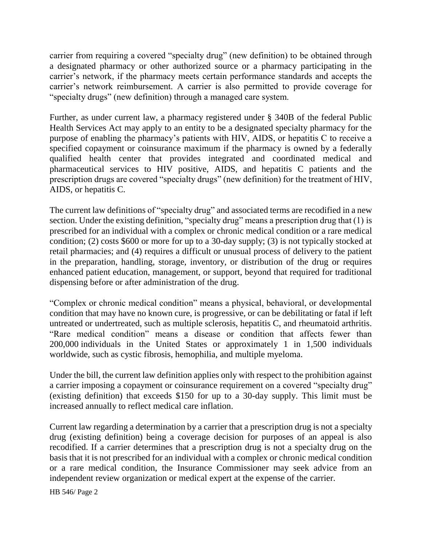carrier from requiring a covered "specialty drug" (new definition) to be obtained through a designated pharmacy or other authorized source or a pharmacy participating in the carrier's network, if the pharmacy meets certain performance standards and accepts the carrier's network reimbursement. A carrier is also permitted to provide coverage for "specialty drugs" (new definition) through a managed care system.

Further, as under current law, a pharmacy registered under § 340B of the federal Public Health Services Act may apply to an entity to be a designated specialty pharmacy for the purpose of enabling the pharmacy's patients with HIV, AIDS, or hepatitis C to receive a specified copayment or coinsurance maximum if the pharmacy is owned by a federally qualified health center that provides integrated and coordinated medical and pharmaceutical services to HIV positive, AIDS, and hepatitis C patients and the prescription drugs are covered "specialty drugs" (new definition) for the treatment of HIV, AIDS, or hepatitis C.

The current law definitions of "specialty drug" and associated terms are recodified in a new section. Under the existing definition, "specialty drug" means a prescription drug that (1) is prescribed for an individual with a complex or chronic medical condition or a rare medical condition; (2) costs \$600 or more for up to a 30-day supply; (3) is not typically stocked at retail pharmacies; and (4) requires a difficult or unusual process of delivery to the patient in the preparation, handling, storage, inventory, or distribution of the drug or requires enhanced patient education, management, or support, beyond that required for traditional dispensing before or after administration of the drug.

"Complex or chronic medical condition" means a physical, behavioral, or developmental condition that may have no known cure, is progressive, or can be debilitating or fatal if left untreated or undertreated, such as multiple sclerosis, hepatitis C, and rheumatoid arthritis. "Rare medical condition" means a disease or condition that affects fewer than 200,000 individuals in the United States or approximately 1 in 1,500 individuals worldwide, such as cystic fibrosis, hemophilia, and multiple myeloma.

Under the bill, the current law definition applies only with respect to the prohibition against a carrier imposing a copayment or coinsurance requirement on a covered "specialty drug" (existing definition) that exceeds \$150 for up to a 30-day supply. This limit must be increased annually to reflect medical care inflation.

Current law regarding a determination by a carrier that a prescription drug is not a specialty drug (existing definition) being a coverage decision for purposes of an appeal is also recodified. If a carrier determines that a prescription drug is not a specialty drug on the basis that it is not prescribed for an individual with a complex or chronic medical condition or a rare medical condition, the Insurance Commissioner may seek advice from an independent review organization or medical expert at the expense of the carrier.